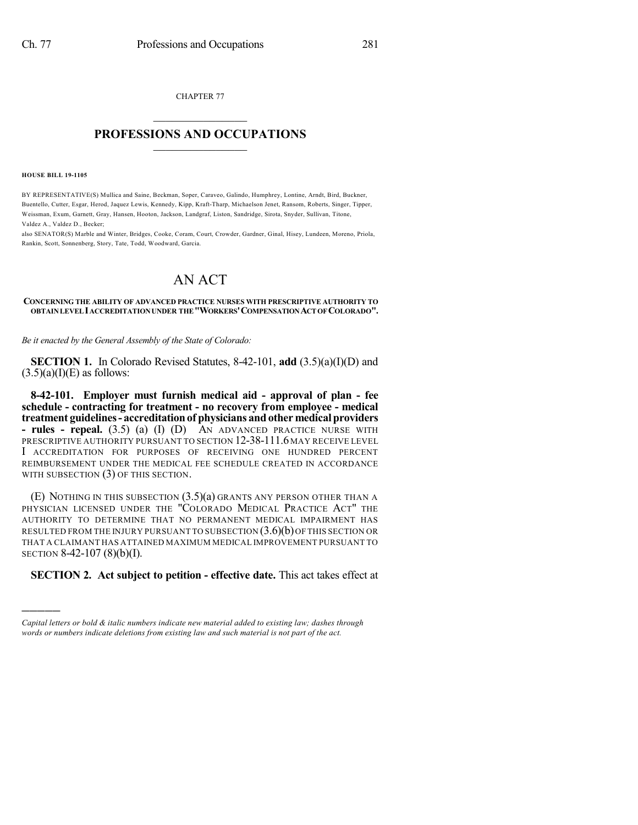CHAPTER 77  $\overline{\phantom{a}}$  . The set of the set of the set of the set of the set of the set of the set of the set of the set of the set of the set of the set of the set of the set of the set of the set of the set of the set of the set o

## **PROFESSIONS AND OCCUPATIONS**  $\frac{1}{2}$  ,  $\frac{1}{2}$  ,  $\frac{1}{2}$  ,  $\frac{1}{2}$  ,  $\frac{1}{2}$  ,  $\frac{1}{2}$  ,  $\frac{1}{2}$

**HOUSE BILL 19-1105**

)))))

BY REPRESENTATIVE(S) Mullica and Saine, Beckman, Soper, Caraveo, Galindo, Humphrey, Lontine, Arndt, Bird, Buckner, Buentello, Cutter, Esgar, Herod, Jaquez Lewis, Kennedy, Kipp, Kraft-Tharp, Michaelson Jenet, Ransom, Roberts, Singer, Tipper, Weissman, Exum, Garnett, Gray, Hansen, Hooton, Jackson, Landgraf, Liston, Sandridge, Sirota, Snyder, Sullivan, Titone, Valdez A., Valdez D., Becker;

also SENATOR(S) Marble and Winter, Bridges, Cooke, Coram, Court, Crowder, Gardner, Ginal, Hisey, Lundeen, Moreno, Priola, Rankin, Scott, Sonnenberg, Story, Tate, Todd, Woodward, Garcia.

## AN ACT

## **CONCERNING THE ABILITY OF ADVANCED PRACTICE NURSES WITH PRESCRIPTIVE AUTHORITY TO OBTAINLEVELIACCREDITATIONUNDER THE"WORKERS'COMPENSATIONACTOFCOLORADO".**

*Be it enacted by the General Assembly of the State of Colorado:*

**SECTION 1.** In Colorado Revised Statutes, 8-42-101, **add** (3.5)(a)(I)(D) and  $(3.5)(a)(I)(E)$  as follows:

**8-42-101. Employer must furnish medical aid - approval of plan - fee schedule - contracting for treatment - no recovery from employee - medical treatment guidelines- accreditationof physicians and other medicalproviders - rules - repeal.** (3.5) (a) (I) (D) AN ADVANCED PRACTICE NURSE WITH PRESCRIPTIVE AUTHORITY PURSUANT TO SECTION 12-38-111.6 MAY RECEIVE LEVEL I ACCREDITATION FOR PURPOSES OF RECEIVING ONE HUNDRED PERCENT REIMBURSEMENT UNDER THE MEDICAL FEE SCHEDULE CREATED IN ACCORDANCE WITH SUBSECTION (3) OF THIS SECTION.

(E) NOTHING IN THIS SUBSECTION (3.5)(a) GRANTS ANY PERSON OTHER THAN A PHYSICIAN LICENSED UNDER THE "COLORADO MEDICAL PRACTICE ACT" THE AUTHORITY TO DETERMINE THAT NO PERMANENT MEDICAL IMPAIRMENT HAS RESULTED FROM THE INJURY PURSUANT TO SUBSECTION  $(3.6)(b)$  OF THIS SECTION OR THAT A CLAIMANT HAS ATTAINED MAXIMUM MEDICAL IMPROVEMENT PURSUANT TO SECTION 8-42-107 (8)(b)(I).

## **SECTION 2. Act subject to petition - effective date.** This act takes effect at

*Capital letters or bold & italic numbers indicate new material added to existing law; dashes through words or numbers indicate deletions from existing law and such material is not part of the act.*